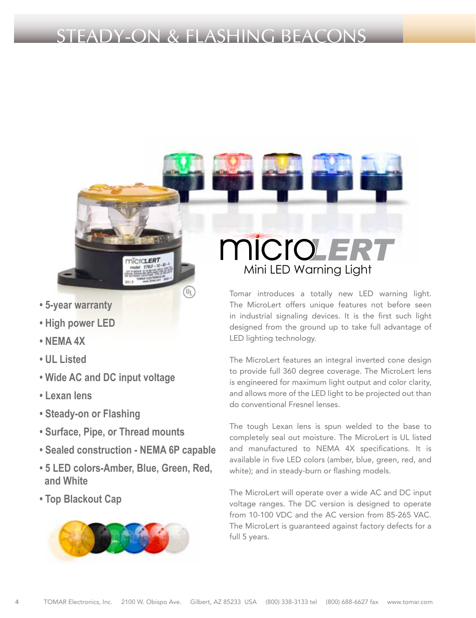# STEADY-ON & FLASHING BEACONS



- **High power LED**
- **NEMA 4X**
- **UL Listed**
- **Wide AC and DC input voltage**
- **Lexan lens**
- **Steady-on or Flashing**
- **Surface, Pipe, or Thread mounts**
- **Sealed construction NEMA 6P capable**

DIOTO ERT

- **5 LED colors-Amber, Blue, Green, Red, and White**
- **Top Blackout Cap**

 $\Delta$ 



# **MICIOLE** Mini LED Warning Light

Tomar introduces a totally new LED warning light. The MicroLert offers unique features not before seen in industrial signaling devices. It is the first such light designed from the ground up to take full advantage of LED lighting technology.

The MicroLert features an integral inverted cone design to provide full 360 degree coverage. The MicroLert lens is engineered for maximum light output and color clarity, and allows more of the LED light to be projected out than do conventional Fresnel lenses.

The tough Lexan lens is spun welded to the base to completely seal out moisture. The MicroLert is UL listed and manufactured to NEMA 4X specifications. It is available in five LED colors (amber, blue, green, red, and white); and in steady-burn or flashing models.

The MicroLert will operate over a wide AC and DC input voltage ranges. The DC version is designed to operate from 10-100 VDC and the AC version from 85-265 VAC. The MicroLert is guaranteed against factory defects for a full 5 years.